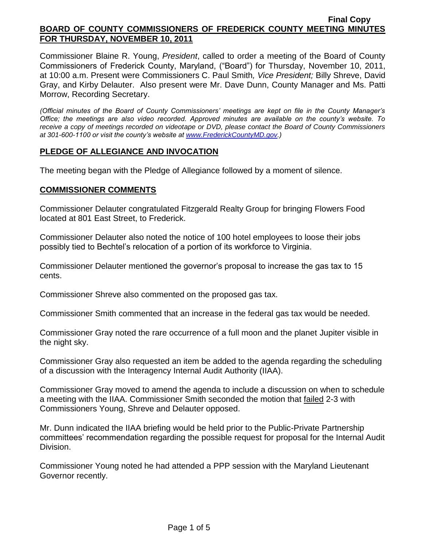Commissioner Blaine R. Young, *President*, called to order a meeting of the Board of County Commissioners of Frederick County, Maryland, ("Board") for Thursday, November 10, 2011, at 10:00 a.m. Present were Commissioners C. Paul Smith*, Vice President;* Billy Shreve, David Gray, and Kirby Delauter. Also present were Mr. Dave Dunn, County Manager and Ms. Patti Morrow, Recording Secretary.

*(Official minutes of the Board of County Commissioners' meetings are kept on file in the County Manager's Office; the meetings are also video recorded. Approved minutes are available on the county's website. To receive a copy of meetings recorded on videotape or DVD, please contact the Board of County Commissioners at 301-600-1100 or visit the county's website at [www.FrederickCountyMD.gov.](http://www.frederickcountymd.gov/))*

### **PLEDGE OF ALLEGIANCE AND INVOCATION**

The meeting began with the Pledge of Allegiance followed by a moment of silence.

### **COMMISSIONER COMMENTS**

Commissioner Delauter congratulated Fitzgerald Realty Group for bringing Flowers Food located at 801 East Street, to Frederick.

Commissioner Delauter also noted the notice of 100 hotel employees to loose their jobs possibly tied to Bechtel's relocation of a portion of its workforce to Virginia.

Commissioner Delauter mentioned the governor's proposal to increase the gas tax to 15 cents.

Commissioner Shreve also commented on the proposed gas tax.

Commissioner Smith commented that an increase in the federal gas tax would be needed.

Commissioner Gray noted the rare occurrence of a full moon and the planet Jupiter visible in the night sky.

Commissioner Gray also requested an item be added to the agenda regarding the scheduling of a discussion with the Interagency Internal Audit Authority (IIAA).

Commissioner Gray moved to amend the agenda to include a discussion on when to schedule a meeting with the IIAA. Commissioner Smith seconded the motion that failed 2-3 with Commissioners Young, Shreve and Delauter opposed.

Mr. Dunn indicated the IIAA briefing would be held prior to the Public-Private Partnership committees' recommendation regarding the possible request for proposal for the Internal Audit Division.

Commissioner Young noted he had attended a PPP session with the Maryland Lieutenant Governor recently.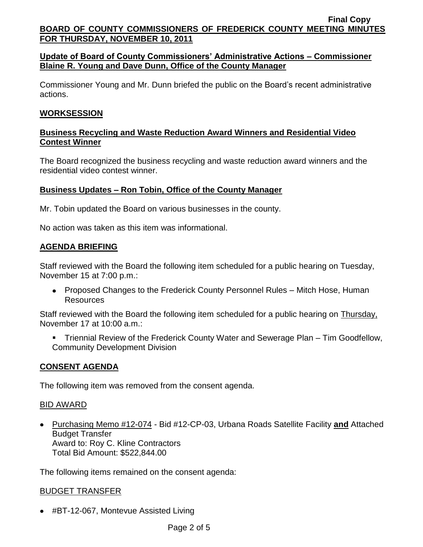# **Update of Board of County Commissioners' Administrative Actions – Commissioner Blaine R. Young and Dave Dunn, Office of the County Manager**

Commissioner Young and Mr. Dunn briefed the public on the Board's recent administrative actions.

# **WORKSESSION**

# **Business Recycling and Waste Reduction Award Winners and Residential Video Contest Winner**

The Board recognized the business recycling and waste reduction award winners and the residential video contest winner.

## **Business Updates – Ron Tobin, Office of the County Manager**

Mr. Tobin updated the Board on various businesses in the county.

No action was taken as this item was informational.

# **AGENDA BRIEFING**

Staff reviewed with the Board the following item scheduled for a public hearing on Tuesday, November 15 at 7:00 p.m.:

Proposed Changes to the Frederick County Personnel Rules – Mitch Hose, Human **Resources** 

Staff reviewed with the Board the following item scheduled for a public hearing on Thursday, November 17 at 10:00 a.m.:

 Triennial Review of the Frederick County Water and Sewerage Plan – Tim Goodfellow, Community Development Division

### **CONSENT AGENDA**

The following item was removed from the consent agenda.

### BID AWARD

Purchasing Memo #12-074 - Bid #12-CP-03, Urbana Roads Satellite Facility **and** Attached Budget Transfer Award to: Roy C. Kline Contractors Total Bid Amount: \$522,844.00

The following items remained on the consent agenda:

### BUDGET TRANSFER

● #BT-12-067, Montevue Assisted Living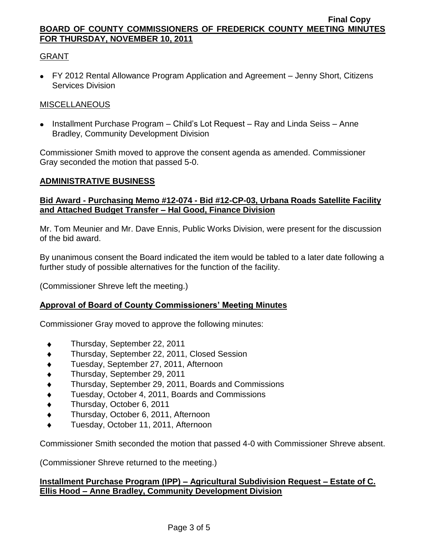# GRANT

FY 2012 Rental Allowance Program Application and Agreement – Jenny Short, Citizens Services Division

### MISCELLANEOUS

• Installment Purchase Program – Child's Lot Request – Ray and Linda Seiss – Anne Bradley, Community Development Division

Commissioner Smith moved to approve the consent agenda as amended. Commissioner Gray seconded the motion that passed 5-0.

#### **ADMINISTRATIVE BUSINESS**

## **Bid Award - Purchasing Memo #12-074 - Bid #12-CP-03, Urbana Roads Satellite Facility and Attached Budget Transfer – Hal Good, Finance Division**

Mr. Tom Meunier and Mr. Dave Ennis, Public Works Division, were present for the discussion of the bid award.

By unanimous consent the Board indicated the item would be tabled to a later date following a further study of possible alternatives for the function of the facility.

(Commissioner Shreve left the meeting.)

### **Approval of Board of County Commissioners' Meeting Minutes**

Commissioner Gray moved to approve the following minutes:

- Thursday, September 22, 2011  $\blacklozenge$
- Thursday, September 22, 2011, Closed Session  $\blacklozenge$
- $\blacklozenge$ Tuesday, September 27, 2011, Afternoon
- Thursday, September 29, 2011  $\blacklozenge$
- $\blacklozenge$ Thursday, September 29, 2011, Boards and Commissions
- Tuesday, October 4, 2011, Boards and Commissions
- Thursday, October 6, 2011  $\blacklozenge$
- Thursday, October 6, 2011, Afternoon
- Tuesday, October 11, 2011, Afternoon

Commissioner Smith seconded the motion that passed 4-0 with Commissioner Shreve absent.

(Commissioner Shreve returned to the meeting.)

### **Installment Purchase Program (IPP) – Agricultural Subdivision Request – Estate of C. Ellis Hood – Anne Bradley, Community Development Division**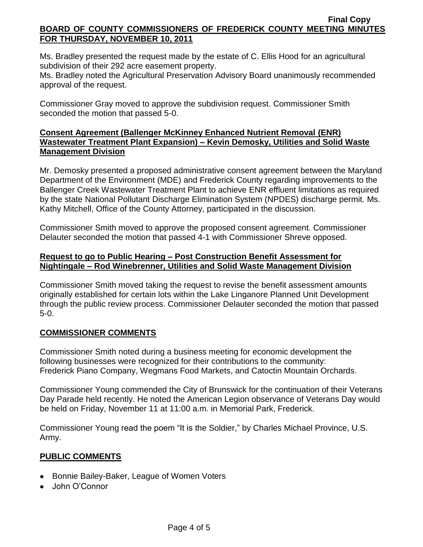Ms. Bradley presented the request made by the estate of C. Ellis Hood for an agricultural subdivision of their 292 acre easement property.

Ms. Bradley noted the Agricultural Preservation Advisory Board unanimously recommended approval of the request.

Commissioner Gray moved to approve the subdivision request. Commissioner Smith seconded the motion that passed 5-0.

## **Consent Agreement (Ballenger McKinney Enhanced Nutrient Removal (ENR) Wastewater Treatment Plant Expansion) – Kevin Demosky, Utilities and Solid Waste Management Division**

Mr. Demosky presented a proposed administrative consent agreement between the Maryland Department of the Environment (MDE) and Frederick County regarding improvements to the Ballenger Creek Wastewater Treatment Plant to achieve ENR effluent limitations as required by the state National Pollutant Discharge Elimination System (NPDES) discharge permit. Ms. Kathy Mitchell, Office of the County Attorney, participated in the discussion.

Commissioner Smith moved to approve the proposed consent agreement. Commissioner Delauter seconded the motion that passed 4-1 with Commissioner Shreve opposed.

## **Request to go to Public Hearing – Post Construction Benefit Assessment for Nightingale – Rod Winebrenner, Utilities and Solid Waste Management Division**

Commissioner Smith moved taking the request to revise the benefit assessment amounts originally established for certain lots within the Lake Linganore Planned Unit Development through the public review process. Commissioner Delauter seconded the motion that passed 5-0.

# **COMMISSIONER COMMENTS**

Commissioner Smith noted during a business meeting for economic development the following businesses were recognized for their contributions to the community: Frederick Piano Company, Wegmans Food Markets, and Catoctin Mountain Orchards.

Commissioner Young commended the City of Brunswick for the continuation of their Veterans Day Parade held recently. He noted the American Legion observance of Veterans Day would be held on Friday, November 11 at 11:00 a.m. in Memorial Park, Frederick.

Commissioner Young read the poem "It is the Soldier," by Charles Michael Province, U.S. Army.

# **PUBLIC COMMENTS**

- Bonnie Bailey-Baker, League of Women Voters
- John O'Connor